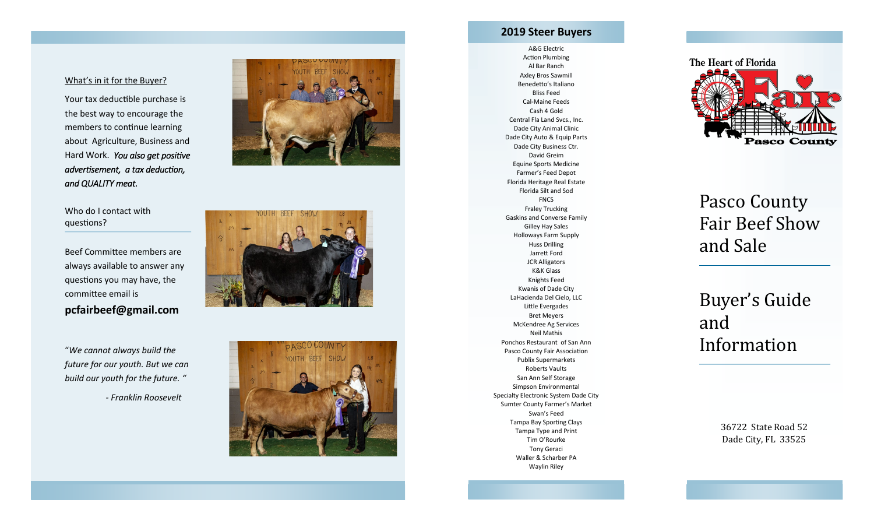#### What's in it for the Buyer?

Your tax deductible purchase is the best way to encourage the members to continue learning about Agriculture, Business and Hard Work. *You also get positive advertisement, a tax deduction, and QUALITY meat.* 

#### Who do I contact with questions?

Beef Committee members are always available to answer any questions you may have, the committee email is **pcfairbeef@gmail.com** 

"*We cannot always build the future for our youth. But we can build our youth for the future. "* 

*- Franklin Roosevelt*







### **2019 Steer Buyers**

A&G Electric Action Plumbing Al Bar Ranch Axley Bros Sawmill Benedetto's Italiano Bliss Feed Cal -Maine Feeds Cash 4 Gold Central Fla Land Svcs., Inc. Dade City Animal Clinic Dade City Auto & Equip Parts Dade City Business Ctr. David Greim Equine Sports Medicine Farmer's Feed Depot Florida Heritage Real Estate Florida Silt and Sod **FNCS** Fraley Trucking Gaskins and Converse Family Gilley Hay Sales Holloways Farm Supply Huss Drilling Jarrett Ford JCR Alligators K&K Glass Knights Feed Kwanis of Dade City LaHacienda Del Cielo, LLC Little Evergades Bret Meyers McKendree Ag Services Neil Mathis Ponchos Restaurant of San Ann Pasco County Fair Association Publix Supermarkets Roberts Vaults San Ann Self Storage Simpson Environmental Specialty Electronic System Dade City Sumter County Farmer's Market Swan's Feed Tampa Bay Sporting Clays Tampa Type and Print Tim O'Rourke Tony Geraci Waller & Scharber PA Waylin Riley



# Pasco County Fair Beef Show and Sale

# Buyer's Guide and Information

36722 State Road 52 Dade City, FL 33525